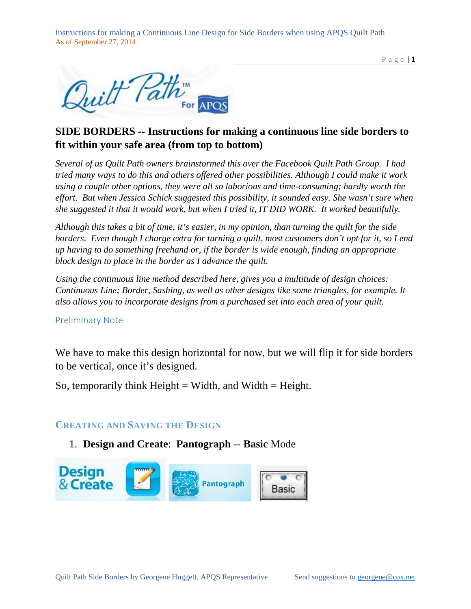



## **SIDE BORDERS -- Instructions for making a continuous line side borders to fit within your safe area (from top to bottom)**

*Several of us Quilt Path owners brainstormed this over the Facebook Quilt Path Group. I had tried many ways to do this and others offered other possibilities. Although I could make it work using a couple other options, they were all so laborious and time-consuming; hardly worth the effort. But when Jessica Schick suggested this possibility, it sounded easy. She wasn't sure when she suggested it that it would work, but when I tried it, IT DID WORK. It worked beautifully.*

*Although this takes a bit of time, it's easier, in my opinion, than turning the quilt for the side borders. Even though I charge extra for turning a quilt, most customers don't opt for it, so I end up having to do something freehand or, if the border is wide enough, finding an appropriate block design to place in the border as I advance the quilt.* 

*Using the continuous line method described here, gives you a multitude of design choices: Continuous Line; Border, Sashing, as well as other designs like some triangles, for example. It also allows you to incorporate designs from a purchased set into each area of your quilt.*

#### Preliminary Note

We have to make this design horizontal for now, but we will flip it for side borders to be vertical, once it's designed.

So, temporarily think  $Height = Width$ , and Width  $= Height$ .

### **CREATING AND SAVING THE DESIGN**

### 1. **Design and Create**: **Pantograph** -- **Basic** Mode

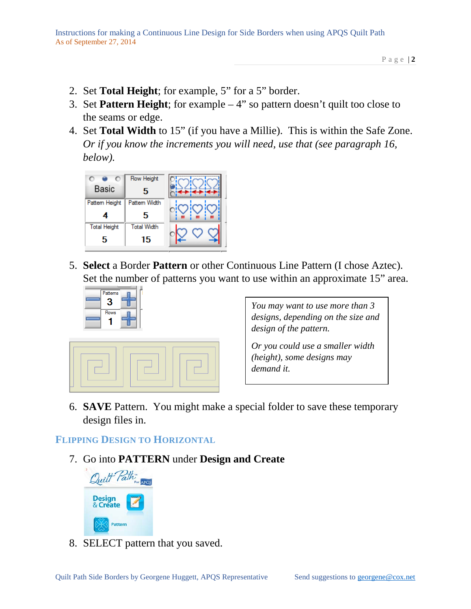- 2. Set **Total Height**; for example, 5" for a 5" border.
- 3. Set **Pattern Height**; for example 4" so pattern doesn't quilt too close to the seams or edge.
- 4. Set **Total Width** to 15" (if you have a Millie). This is within the Safe Zone. *Or if you know the increments you will need, use that (see paragraph 16, below).*



5. **Select** a Border **Pattern** or other Continuous Line Pattern (I chose Aztec). Set the number of patterns you want to use within an approximate 15" area.





*You may want to use more than 3 designs, depending on the size and design of the pattern.*

*Or you could use a smaller width (height), some designs may demand it.*

6. **SAVE** Pattern. You might make a special folder to save these temporary design files in.

## **FLIPPING DESIGN TO HORIZONTAL**

7. Go into **PATTERN** under **Design and Create**



8. SELECT pattern that you saved.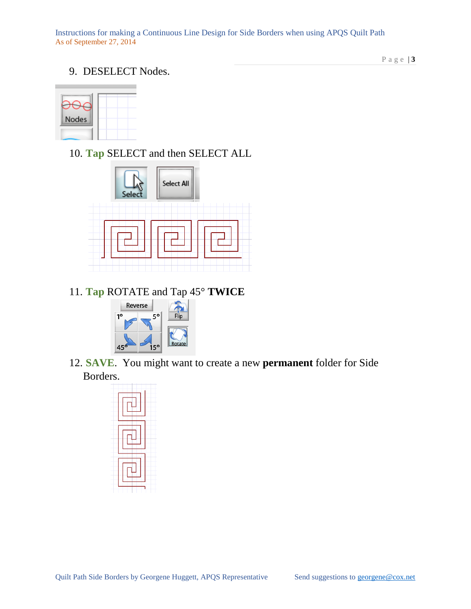### 9. DESELECT Nodes.

**Nodes** 

10. **Tap** SELECT and then SELECT ALL



11. **Tap** ROTATE and Tap 45° **TWICE**



12. **SAVE**. You might want to create a new **permanent** folder for Side Borders.

| ÷ |
|---|
|   |

Page | **3**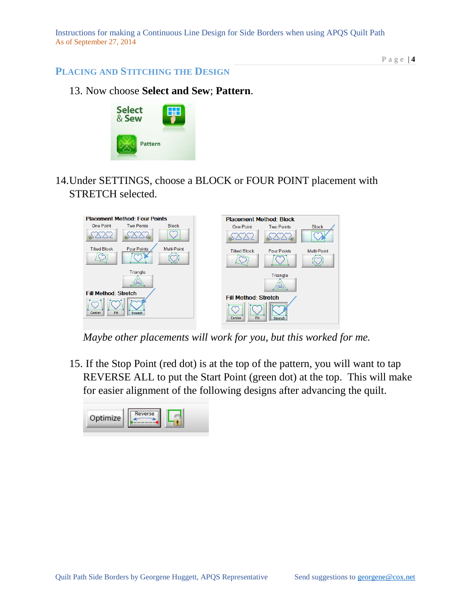Page | **4**

### **PLACING AND STITCHING THE DESIGN**

13. Now choose **Select and Sew**; **Pattern**.



14.Under SETTINGS, choose a BLOCK or FOUR POINT placement with STRETCH selected.



*Maybe other placements will work for you, but this worked for me.*

15. If the Stop Point (red dot) is at the top of the pattern, you will want to tap REVERSE ALL to put the Start Point (green dot) at the top. This will make for easier alignment of the following designs after advancing the quilt.

| Optimize | verse |  |
|----------|-------|--|
|----------|-------|--|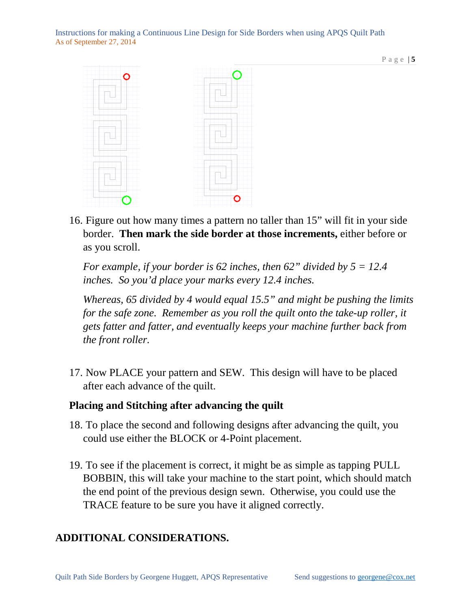

16. Figure out how many times a pattern no taller than 15" will fit in your side border. **Then mark the side border at those increments,** either before or as you scroll.

*For example, if your border is 62 inches, then 62" divided by 5 = 12.4 inches. So you'd place your marks every 12.4 inches.* 

*Whereas, 65 divided by 4 would equal 15.5" and might be pushing the limits for the safe zone. Remember as you roll the quilt onto the take-up roller, it gets fatter and fatter, and eventually keeps your machine further back from the front roller.*

17. Now PLACE your pattern and SEW. This design will have to be placed after each advance of the quilt.

## **Placing and Stitching after advancing the quilt**

- 18. To place the second and following designs after advancing the quilt, you could use either the BLOCK or 4-Point placement.
- 19. To see if the placement is correct, it might be as simple as tapping PULL BOBBIN, this will take your machine to the start point, which should match the end point of the previous design sewn. Otherwise, you could use the TRACE feature to be sure you have it aligned correctly.

## **ADDITIONAL CONSIDERATIONS.**

Page | **5**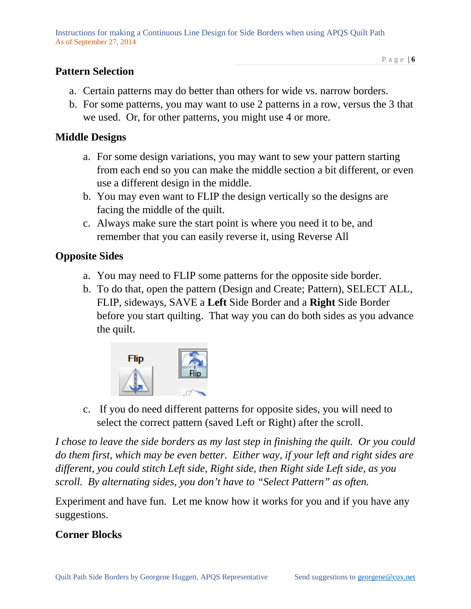## **Pattern Selection**

b. For some patterns, you may want to use 2 patterns in a row, versus the 3 that we used. Or, for other patterns, you might use 4 or more.

## **Middle Designs**

- a. For some design variations, you may want to sew your pattern starting from each end so you can make the middle section a bit different, or even use a different design in the middle.
- b. You may even want to FLIP the design vertically so the designs are facing the middle of the quilt.
- c. Always make sure the start point is where you need it to be, and remember that you can easily reverse it, using Reverse All

## **Opposite Sides**

- a. You may need to FLIP some patterns for the opposite side border.
- b. To do that, open the pattern (Design and Create; Pattern), SELECT ALL, FLIP, sideways, SAVE a **Left** Side Border and a **Right** Side Border before you start quilting. That way you can do both sides as you advance the quilt.



c. If you do need different patterns for opposite sides, you will need to select the correct pattern (saved Left or Right) after the scroll.

*I chose to leave the side borders as my last step in finishing the quilt. Or you could do them first, which may be even better. Either way, if your left and right sides are different, you could stitch Left side, Right side, then Right side Left side, as you scroll. By alternating sides, you don't have to "Select Pattern" as often.*

Experiment and have fun. Let me know how it works for you and if you have any suggestions.

# **Corner Blocks**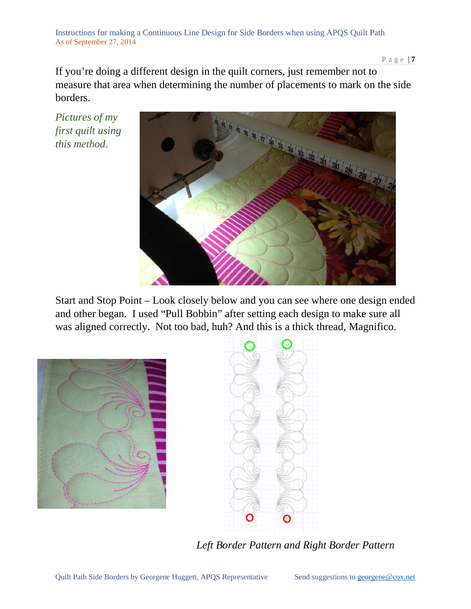Page | **7**

If you're doing a different design in the quilt corners, just remember not to measure that area when determining the number of placements to mark on the side borders.

*Pictures of my first quilt using this method*.



Start and Stop Point – Look closely below and you can see where one design ended and other began. I used "Pull Bobbin" after setting each design to make sure all was aligned correctly. Not too bad, huh? And this is a thick thread, Magnifico.





*Left Border Pattern and Right Border Pattern*